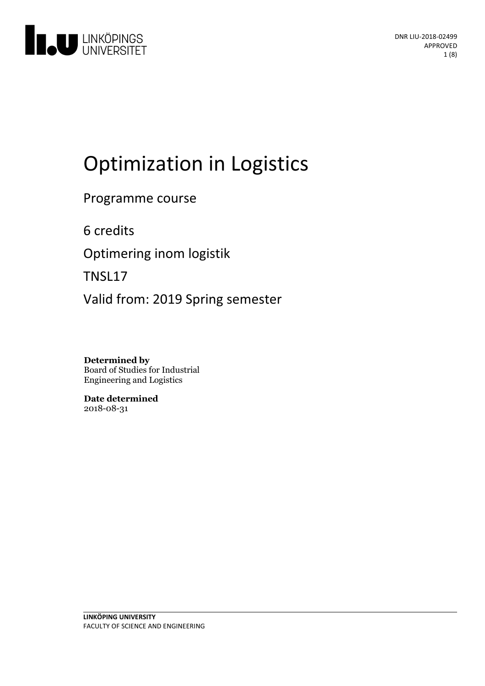

# Optimization in Logistics

Programme course

6 credits

Optimering inom logistik

TNSL17

Valid from: 2019 Spring semester

**Determined by** Board of Studies for Industrial Engineering and Logistics

**Date determined** 2018-08-31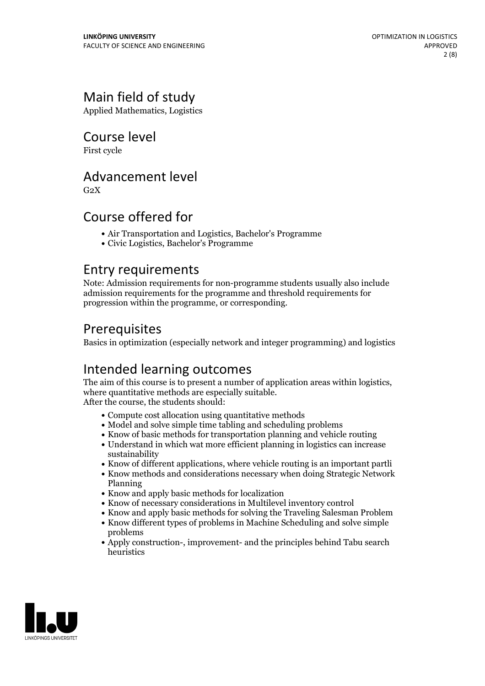# Main field of study

Applied Mathematics, Logistics

Course level

First cycle

### Advancement level

 $G<sub>2</sub>X$ 

### Course offered for

- Air Transportation and Logistics, Bachelor's Programme
- Civic Logistics, Bachelor's Programme

### Entry requirements

Note: Admission requirements for non-programme students usually also include admission requirements for the programme and threshold requirements for progression within the programme, or corresponding.

### Prerequisites

Basics in optimization (especially network and integer programming) and logistics

# Intended learning outcomes

The aim of this course is to present <sup>a</sup> number of application areas within logistics, where quantitative methods are especially suitable. After the course, the students should:

- Compute cost allocation using quantitative methods
- Model and solve simple time tabling and scheduling problems
- Know of basic methods for transportation planning and vehicle routing
- Understand in which wat more efficient planning in logistics can increase sustainability
- Know of different applications, where vehicle routing is an important partli
- Know methods and considerations necessary when doing Strategic Network Planning
- Know and apply basic methods for localization
- Know of necessary considerations in Multilevel inventory control
- Know and apply basic methods for solving the Traveling Salesman Problem
- Know different types of problems in Machine Scheduling and solve simple problems
- Apply construction-, improvement- and the principles behind Tabu search heuristics

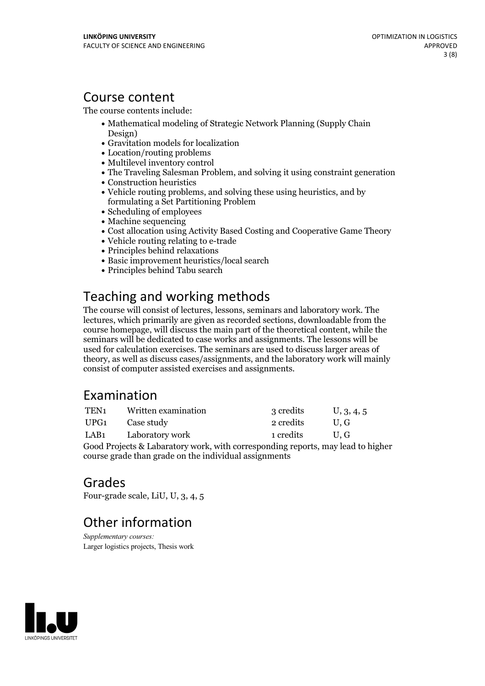### Course content

The course contents include:

- Mathematical modeling of Strategic Network Planning (Supply Chain Design)
- Gravitation models for localization
- Location/routing problems
- Multilevel inventory control
- The Traveling Salesman Problem, and solving it using constraint generation
- Construction heuristics
- Vehicle routing problems, and solving these using heuristics, and by formulating a Set Partitioning Problem
- Scheduling of employees
- Machine sequencing
- Cost allocation using Activity Based Costing and Cooperative Game Theory
- Vehicle routing relating to e-trade
- Principles behind relaxations
- Basic improvement heuristics/local search
- Principles behind Tabu search

# Teaching and working methods

The course will consist of lectures, lessons, seminars and laboratory work. The lectures, which primarily are given asrecorded sections, downloadable from the course homepage, will discuss the main part of the theoretical content, while the seminars will be dedicated to case works and assignments. The lessons will be used for calculation exercises. The seminars are used to discuss larger areas of theory, as well as discuss cases/assignments, and the laboratory work will mainly consist of computer assisted exercises and assignments.

# Examination

| TEN <sub>1</sub> | Written examination                                                                                                                                                                                                                                                                                                                                                                                                   | 3 credits | U, 3, 4, 5 |
|------------------|-----------------------------------------------------------------------------------------------------------------------------------------------------------------------------------------------------------------------------------------------------------------------------------------------------------------------------------------------------------------------------------------------------------------------|-----------|------------|
| UPG1             | Case study                                                                                                                                                                                                                                                                                                                                                                                                            | 2 credits | U.G        |
| LAB1             | Laboratory work                                                                                                                                                                                                                                                                                                                                                                                                       | 1 credits | U.G        |
|                  | $\alpha$ in $\alpha$ , $\alpha$ , $\alpha$ , $\alpha$ , $\alpha$ , $\alpha$ , $\alpha$ , $\alpha$ , $\alpha$ , $\alpha$ , $\alpha$ , $\alpha$ , $\alpha$ , $\alpha$ , $\alpha$ , $\alpha$ , $\alpha$ , $\alpha$ , $\alpha$ , $\alpha$ , $\alpha$ , $\alpha$ , $\alpha$ , $\alpha$ , $\alpha$ , $\alpha$ , $\alpha$ , $\alpha$ , $\alpha$ , $\alpha$ , $\alpha$ , $\alpha$ , $\alpha$ , $\alpha$ , $\alpha$ , $\alpha$ |           |            |

Good Projects & Labaratory work, with corresponding reports, may lead to higher course grade than grade on the individual assignments

### Grades

Four-grade scale, LiU, U, 3, 4, 5

# Other information

*Supplementary courses:* Larger logistics projects, Thesis work

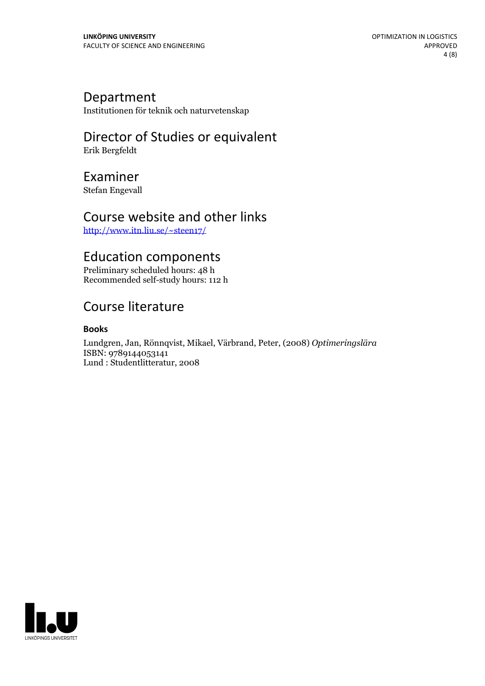#### Department

Institutionen för teknik och naturvetenskap

# Director of Studies or equivalent

Erik Bergfeldt

### Examiner

Stefan Engevall

### Course website and other links

<http://www.itn.liu.se/~steen17/>

### Education components

Preliminary scheduled hours: 48 h Recommended self-study hours: 112 h

# Course literature

#### **Books**

Lundgren, Jan, Rönnqvist, Mikael, Värbrand, Peter, (2008) *Optimeringslära* ISBN: 9789144053141 Lund : Studentlitteratur, 2008

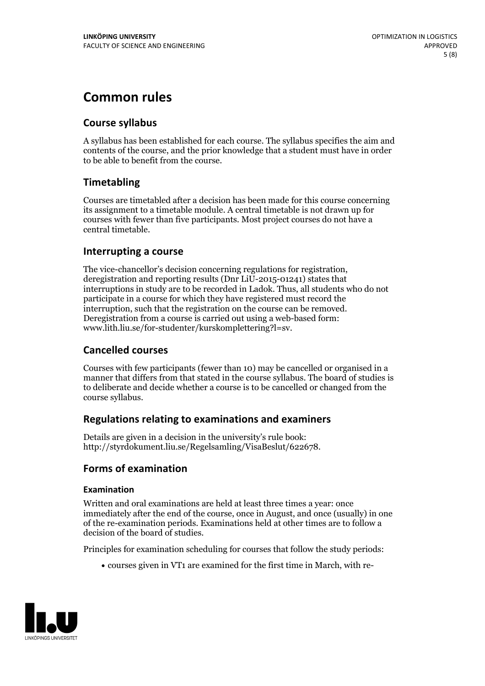# **Common rules**

#### **Course syllabus**

A syllabus has been established for each course. The syllabus specifies the aim and contents of the course, and the prior knowledge that a student must have in order to be able to benefit from the course.

#### **Timetabling**

Courses are timetabled after a decision has been made for this course concerning its assignment to a timetable module. A central timetable is not drawn up for courses with fewer than five participants. Most project courses do not have a central timetable.

#### **Interrupting a course**

The vice-chancellor's decision concerning regulations for registration, deregistration and reporting results (Dnr LiU-2015-01241) states that interruptions in study are to be recorded in Ladok. Thus, all students who do not participate in a course for which they have registered must record the interruption, such that the registration on the course can be removed. Deregistration from <sup>a</sup> course is carried outusing <sup>a</sup> web-based form: www.lith.liu.se/for-studenter/kurskomplettering?l=sv.

#### **Cancelled courses**

Courses with few participants (fewer than 10) may be cancelled or organised in a manner that differs from that stated in the course syllabus. The board of studies is to deliberate and decide whether a course is to be cancelled orchanged from the course syllabus.

#### **Regulations relatingto examinations and examiners**

Details are given in a decision in the university's rule book: http://styrdokument.liu.se/Regelsamling/VisaBeslut/622678.

#### **Forms of examination**

#### **Examination**

Written and oral examinations are held at least three times a year: once immediately after the end of the course, once in August, and once (usually) in one of the re-examination periods. Examinations held at other times are to follow a decision of the board of studies.

Principles for examination scheduling for courses that follow the study periods:

courses given in VT1 are examined for the first time in March, with re-

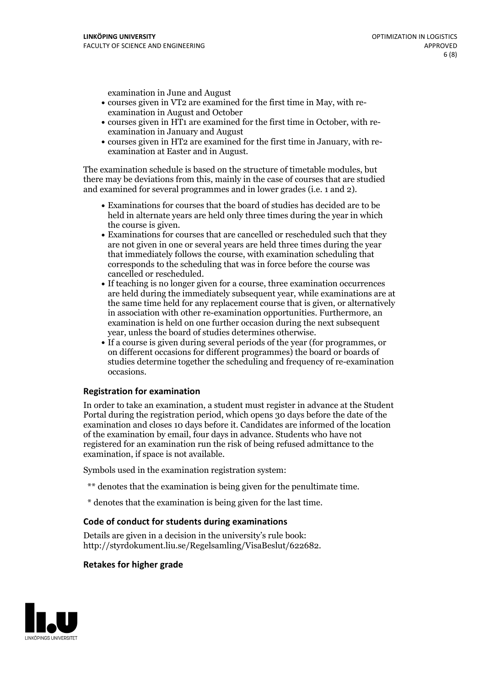examination in June and August

- courses given in VT2 are examined for the first time in May, with re-examination in August and October
- courses given in HT1 are examined for the first time in October, with re-examination in January and August
- courses given in HT2 are examined for the first time in January, with re-examination at Easter and in August.

The examination schedule is based on the structure of timetable modules, but there may be deviations from this, mainly in the case of courses that are studied and examined for several programmes and in lower grades (i.e. 1 and 2).

- Examinations for courses that the board of studies has decided are to be held in alternate years are held only three times during the year in which
- the course is given.<br>• Examinations for courses that are cancelled or rescheduled such that they are not given in one or several years are held three times during the year that immediately follows the course, with examination scheduling that corresponds to the scheduling that was in force before the course was cancelled or rescheduled.<br>• If teaching is no longer given for a course, three examination occurrences
- are held during the immediately subsequent year, while examinations are at the same time held for any replacement course that is given, or alternatively in association with other re-examination opportunities. Furthermore, an examination is held on one further occasion during the next subsequent year, unless the board of studies determines otherwise.<br>• If a course is given during several periods of the year (for programmes, or
- on different occasions for different programmes) the board orboards of studies determine together the scheduling and frequency of re-examination occasions.

#### **Registration for examination**

In order to take an examination, a student must register in advance at the Student Portal during the registration period, which opens 30 days before the date of the examination and closes 10 days before it. Candidates are informed of the location of the examination by email, four days in advance. Students who have not registered for an examination run the risk of being refused admittance to the examination, if space is not available.

Symbols used in the examination registration system:

- \*\* denotes that the examination is being given for the penultimate time.
- \* denotes that the examination is being given for the last time.

#### **Code of conduct for students during examinations**

Details are given in a decision in the university's rule book: http://styrdokument.liu.se/Regelsamling/VisaBeslut/622682.

#### **Retakes for higher grade**

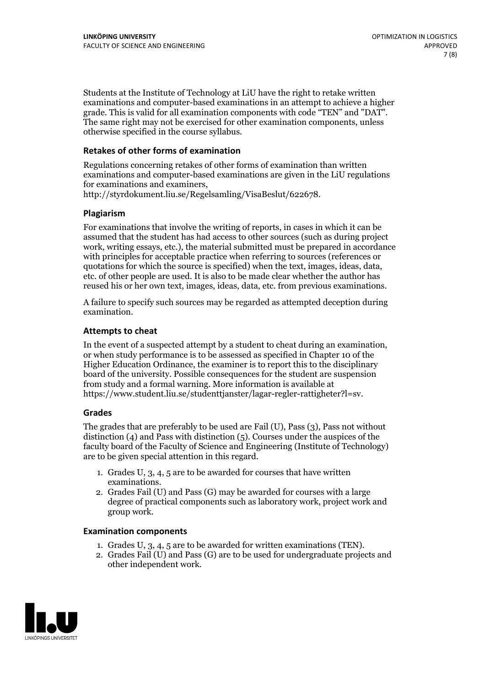Students at the Institute of Technology at LiU have the right to retake written examinations and computer-based examinations in an attempt to achieve a higher grade. This is valid for all examination components with code "TEN" and "DAT". The same right may not be exercised for other examination components, unless otherwise specified in the course syllabus.

#### **Retakes of other forms of examination**

Regulations concerning retakes of other forms of examination than written examinations and computer-based examinations are given in the LiU regulations for examinations and examiners, http://styrdokument.liu.se/Regelsamling/VisaBeslut/622678.

#### **Plagiarism**

For examinations that involve the writing of reports, in cases in which it can be assumed that the student has had access to other sources (such as during project work, writing essays, etc.), the material submitted must be prepared in accordance with principles for acceptable practice when referring to sources (references or quotations for which the source is specified) when the text, images, ideas, data, etc. of other people are used. It is also to be made clear whether the author has reused his or her own text, images, ideas, data, etc. from previous examinations.

A failure to specify such sources may be regarded as attempted deception during examination.

#### **Attempts to cheat**

In the event of <sup>a</sup> suspected attempt by <sup>a</sup> student to cheat during an examination, or when study performance is to be assessed as specified in Chapter <sup>10</sup> of the Higher Education Ordinance, the examiner is to report this to the disciplinary board of the university. Possible consequences for the student are suspension from study and a formal warning. More information is available at https://www.student.liu.se/studenttjanster/lagar-regler-rattigheter?l=sv.

#### **Grades**

The grades that are preferably to be used are Fail (U), Pass (3), Pass not without distinction  $(4)$  and Pass with distinction  $(5)$ . Courses under the auspices of the faculty board of the Faculty of Science and Engineering (Institute of Technology) are to be given special attention in this regard.

- 1. Grades U, 3, 4, 5 are to be awarded for courses that have written
- examinations. 2. Grades Fail (U) and Pass (G) may be awarded for courses with <sup>a</sup> large degree of practical components such as laboratory work, project work and group work.

#### **Examination components**

- 
- 1. Grades U, 3, 4, <sup>5</sup> are to be awarded for written examinations (TEN). 2. Grades Fail (U) and Pass (G) are to be used for undergraduate projects and other independent work.